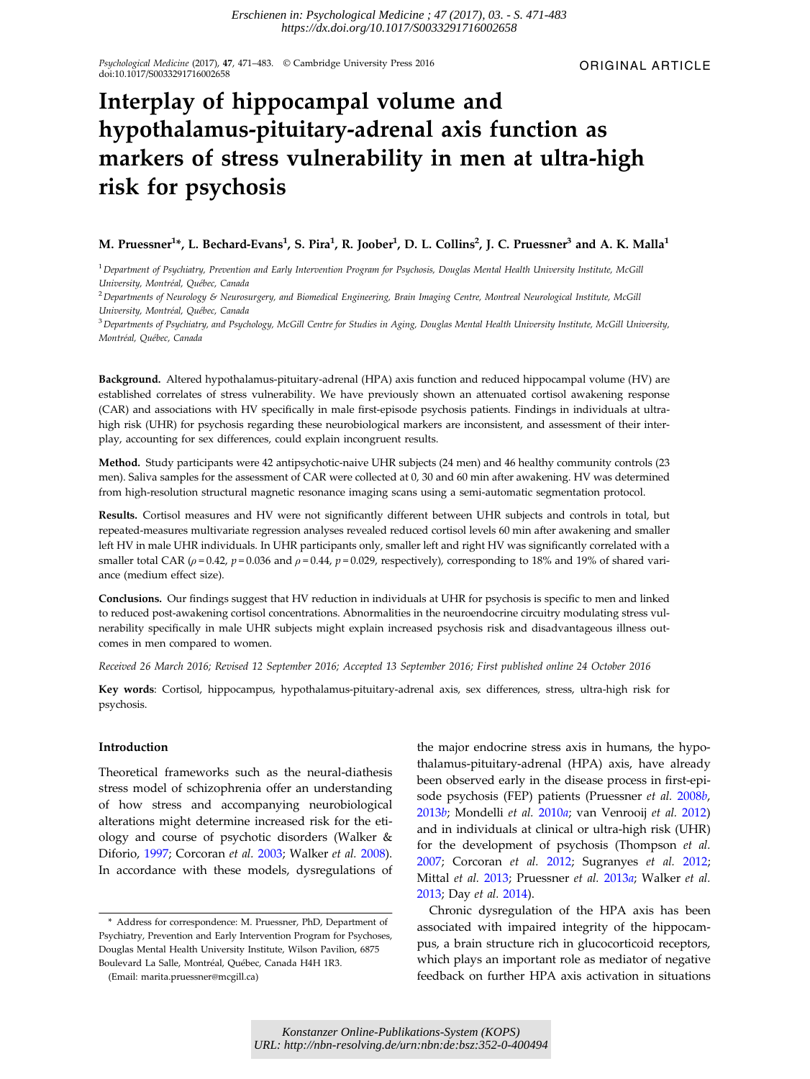Psychological Medicine (2017), 47, 471–483. © Cambridge University Press 2016<br>doi:10.1017/S0033291716002658

# Interplay of hippocampal volume and hypothalamus-pituitary-adrenal axis function as markers of stress vulnerability in men at ultra-high risk for psychosis

# M. Pruessner $^{1*}$ , L. Bechard-Evans $^{1}$ , S. Pira $^{1}$ , R. Joober $^{1}$ , D. L. Collins $^{2}$ , J. C. Pruessner $^{3}$  and A. K. Malla $^{1}$

<sup>1</sup>Department of Psychiatry, Prevention and Early Intervention Program for Psychosis, Douglas Mental Health University Institute, McGill University, Montréal, Québec, Canada

<sup>2</sup> Departments of Neurology & Neurosurgery, and Biomedical Engineering, Brain Imaging Centre, Montreal Neurological Institute, McGill University, Montréal, Québec, Canada

<sup>3</sup>Departments of Psychiatry, and Psychology, McGill Centre for Studies in Aging, Douglas Mental Health University Institute, McGill University, Montréal, Québec, Canada

Background. Altered hypothalamus-pituitary-adrenal (HPA) axis function and reduced hippocampal volume (HV) are established correlates of stress vulnerability. We have previously shown an attenuated cortisol awakening response (CAR) and associations with HV specifically in male first-episode psychosis patients. Findings in individuals at ultrahigh risk (UHR) for psychosis regarding these neurobiological markers are inconsistent, and assessment of their interplay, accounting for sex differences, could explain incongruent results.

Method. Study participants were 42 antipsychotic-naive UHR subjects (24 men) and 46 healthy community controls (23 men). Saliva samples for the assessment of CAR were collected at 0, 30 and 60 min after awakening. HV was determined from high-resolution structural magnetic resonance imaging scans using a semi-automatic segmentation protocol.

Results. Cortisol measures and HV were not significantly different between UHR subjects and controls in total, but repeated-measures multivariate regression analyses revealed reduced cortisol levels 60 min after awakening and smaller left HV in male UHR individuals. In UHR participants only, smaller left and right HV was significantly correlated with a smaller total CAR ( $\rho$  = 0.42,  $p$  = 0.036 and  $\rho$  = 0.44,  $p$  = 0.029, respectively), corresponding to 18% and 19% of shared variance (medium effect size).

Conclusions. Our findings suggest that HV reduction in individuals at UHR for psychosis is specific to men and linked to reduced post-awakening cortisol concentrations. Abnormalities in the neuroendocrine circuitry modulating stress vulnerability specifically in male UHR subjects might explain increased psychosis risk and disadvantageous illness outcomes in men compared to women.

Received 26 March 2016; Revised 12 September 2016; Accepted 13 September 2016; First published online 24 October 2016

Key words: Cortisol, hippocampus, hypothalamus-pituitary-adrenal axis, sex differences, stress, ultra-high risk for psychosis.

## Introduction

Theoretical frameworks such as the neural-diathesis stress model of schizophrenia offer an understanding of how stress and accompanying neurobiological alterations might determine increased risk for the etiology and course of psychotic disorders (Walker & Diforio, [1997;](#page-12-0) Corcoran et al. [2003;](#page-9-0) Walker et al. [2008](#page-12-0)). In accordance with these models, dysregulations of

(Email: marita.pruessner@mcgill.ca)

the major endocrine stress axis in humans, the hypothalamus-pituitary-adrenal (HPA) axis, have already been observed early in the disease process in first-episode psychosis (FEP) patients (Pruessner et al. [2008](#page-11-0)b, [2013](#page-11-0)b; Mondelli et al. [2010](#page-10-0)a; van Venrooij et al. [2012\)](#page-11-0) and in individuals at clinical or ultra-high risk (UHR) for the development of psychosis (Thompson et al. [2007;](#page-11-0) Corcoran et al. [2012](#page-9-0); Sugranyes et al. [2012](#page-11-0); Mittal et al. [2013](#page-10-0); Pruessner et al. [2013](#page-11-0)a; Walker et al. [2013;](#page-12-0) Day et al. [2014](#page-9-0)).

Chronic dysregulation of the HPA axis has been associated with impaired integrity of the hippocampus, a brain structure rich in glucocorticoid receptors, which plays an important role as mediator of negative feedback on further HPA axis activation in situations

<sup>\*</sup> Address for correspondence: M. Pruessner, PhD, Department of Psychiatry, Prevention and Early Intervention Program for Psychoses, Douglas Mental Health University Institute, Wilson Pavilion, 6875 Boulevard La Salle, Montréal, Québec, Canada H4H 1R3.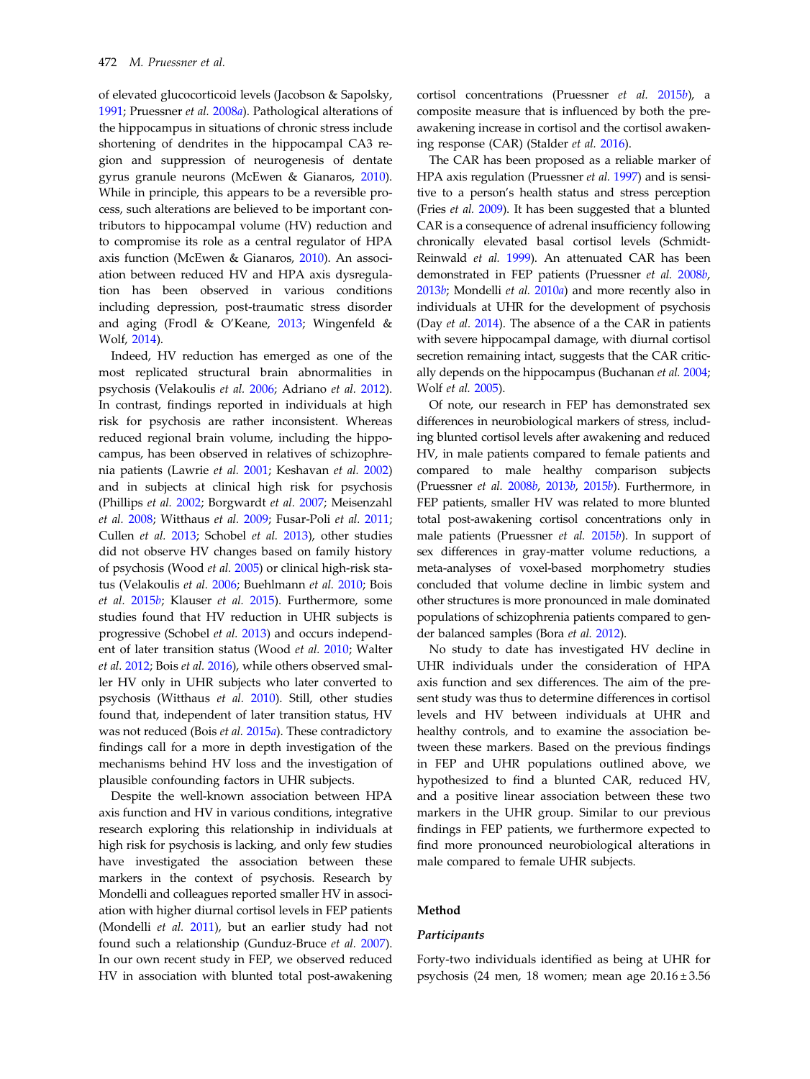of elevated glucocorticoid levels (Jacobson & Sapolsky, [1991;](#page-10-0) Pruessner et al. [2008](#page-11-0)a). Pathological alterations of the hippocampus in situations of chronic stress include shortening of dendrites in the hippocampal CA3 region and suppression of neurogenesis of dentate gyrus granule neurons (McEwen & Gianaros, [2010](#page-10-0)). While in principle, this appears to be a reversible process, such alterations are believed to be important contributors to hippocampal volume (HV) reduction and to compromise its role as a central regulator of HPA axis function (McEwen & Gianaros, [2010](#page-10-0)). An association between reduced HV and HPA axis dysregulation has been observed in various conditions including depression, post-traumatic stress disorder and aging (Frodl & O'Keane, [2013](#page-9-0); Wingenfeld & Wolf, [2014](#page-12-0)).

Indeed, HV reduction has emerged as one of the most replicated structural brain abnormalities in psychosis (Velakoulis et al. [2006;](#page-11-0) Adriano et al. [2012](#page-9-0)). In contrast, findings reported in individuals at high risk for psychosis are rather inconsistent. Whereas reduced regional brain volume, including the hippocampus, has been observed in relatives of schizophrenia patients (Lawrie et al. [2001](#page-10-0); Keshavan et al. [2002\)](#page-10-0) and in subjects at clinical high risk for psychosis (Phillips et al. [2002;](#page-10-0) Borgwardt et al. [2007](#page-9-0); Meisenzahl et al. [2008](#page-10-0); Witthaus et al. [2009](#page-12-0); Fusar-Poli et al. [2011](#page-9-0); Cullen et al. [2013](#page-9-0); Schobel et al. [2013\)](#page-11-0), other studies did not observe HV changes based on family history of psychosis (Wood et al. [2005\)](#page-12-0) or clinical high-risk status (Velakoulis et al. [2006](#page-11-0); Buehlmann et al. [2010;](#page-9-0) Bois et al. [2015](#page-9-0)b; Klauser et al. [2015\)](#page-10-0). Furthermore, some studies found that HV reduction in UHR subjects is progressive (Schobel et al. [2013](#page-11-0)) and occurs independ-ent of later transition status (Wood et al. [2010;](#page-12-0) Walter et al. [2012](#page-12-0); Bois et al. [2016\)](#page-9-0), while others observed smaller HV only in UHR subjects who later converted to psychosis (Witthaus et al. [2010\)](#page-12-0). Still, other studies found that, independent of later transition status, HV was not reduced (Bois et al. [2015](#page-9-0)a). These contradictory findings call for a more in depth investigation of the mechanisms behind HV loss and the investigation of plausible confounding factors in UHR subjects.

Despite the well-known association between HPA axis function and HV in various conditions, integrative research exploring this relationship in individuals at high risk for psychosis is lacking, and only few studies have investigated the association between these markers in the context of psychosis. Research by Mondelli and colleagues reported smaller HV in association with higher diurnal cortisol levels in FEP patients (Mondelli et al. [2011\)](#page-10-0), but an earlier study had not found such a relationship (Gunduz-Bruce et al. [2007\)](#page-10-0). In our own recent study in FEP, we observed reduced HV in association with blunted total post-awakening

cortisol concentrations (Pruessner et al. [2015](#page-11-0)b), a composite measure that is influenced by both the preawakening increase in cortisol and the cortisol awakening response (CAR) (Stalder et al. [2016\)](#page-11-0).

The CAR has been proposed as a reliable marker of HPA axis regulation (Pruessner et al. [1997](#page-11-0)) and is sensitive to a person's health status and stress perception (Fries et al. [2009\)](#page-9-0). It has been suggested that a blunted CAR is a consequence of adrenal insufficiency following chronically elevated basal cortisol levels (Schmidt-Reinwald et al. [1999](#page-11-0)). An attenuated CAR has been demonstrated in FEP patients (Pruessner et al. [2008](#page-11-0)b, [2013](#page-11-0)b; Mondelli et al. [2010](#page-10-0)a) and more recently also in individuals at UHR for the development of psychosis (Day et al. [2014\)](#page-9-0). The absence of a the CAR in patients with severe hippocampal damage, with diurnal cortisol secretion remaining intact, suggests that the CAR critically depends on the hippocampus (Buchanan et al. [2004](#page-9-0); Wolf et al. [2005\)](#page-12-0).

Of note, our research in FEP has demonstrated sex differences in neurobiological markers of stress, including blunted cortisol levels after awakening and reduced HV, in male patients compared to female patients and compared to male healthy comparison subjects (Pruessner et al. [2008](#page-11-0)b, [2013](#page-11-0)b, [2015](#page-11-0)b). Furthermore, in FEP patients, smaller HV was related to more blunted total post-awakening cortisol concentrations only in male patients (Pruessner et al. [2015](#page-11-0)b). In support of sex differences in gray-matter volume reductions, a meta-analyses of voxel-based morphometry studies concluded that volume decline in limbic system and other structures is more pronounced in male dominated populations of schizophrenia patients compared to gender balanced samples (Bora et al. [2012](#page-9-0)).

No study to date has investigated HV decline in UHR individuals under the consideration of HPA axis function and sex differences. The aim of the present study was thus to determine differences in cortisol levels and HV between individuals at UHR and healthy controls, and to examine the association between these markers. Based on the previous findings in FEP and UHR populations outlined above, we hypothesized to find a blunted CAR, reduced HV, and a positive linear association between these two markers in the UHR group. Similar to our previous findings in FEP patients, we furthermore expected to find more pronounced neurobiological alterations in male compared to female UHR subjects.

## Method

#### Participants

Forty-two individuals identified as being at UHR for psychosis (24 men, 18 women; mean age 20.16 ± 3.56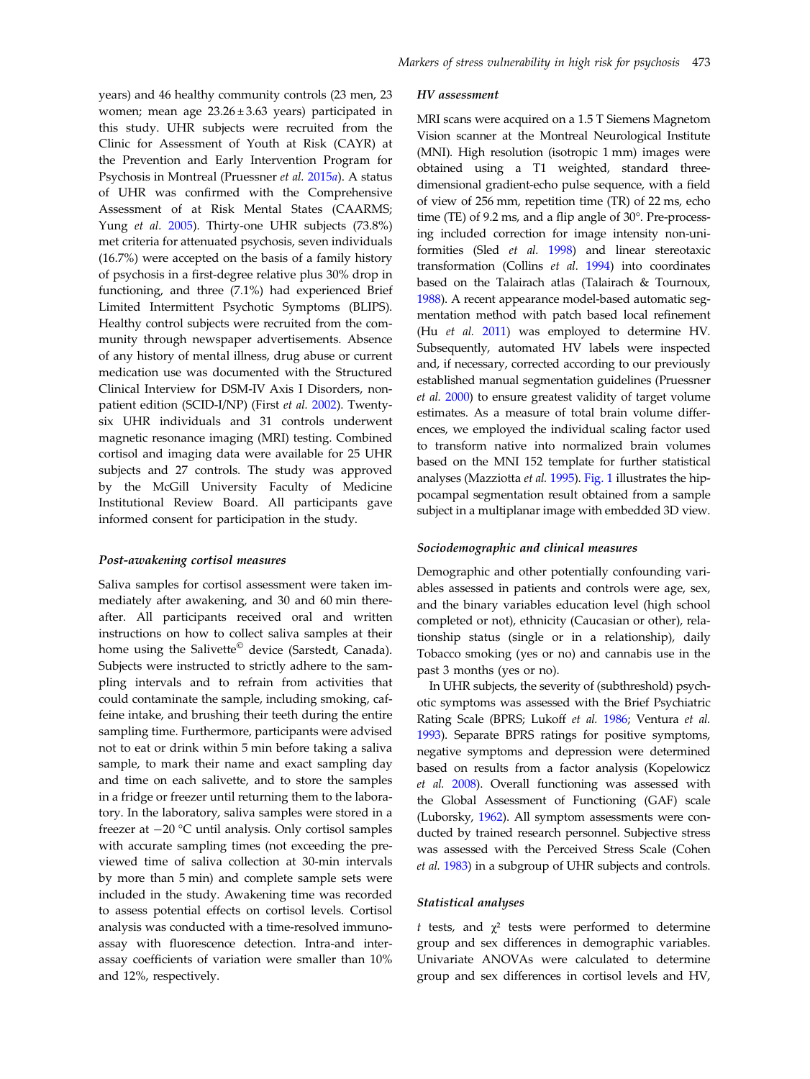years) and 46 healthy community controls (23 men, 23 women; mean age  $23.26 \pm 3.63$  years) participated in this study. UHR subjects were recruited from the Clinic for Assessment of Youth at Risk (CAYR) at the Prevention and Early Intervention Program for Psychosis in Montreal (Pruessner et al. [2015](#page-11-0)a). A status of UHR was confirmed with the Comprehensive Assessment of at Risk Mental States (CAARMS; Yung et al. [2005\)](#page-12-0). Thirty-one UHR subjects (73.8%) met criteria for attenuated psychosis, seven individuals (16.7%) were accepted on the basis of a family history of psychosis in a first-degree relative plus 30% drop in functioning, and three (7.1%) had experienced Brief Limited Intermittent Psychotic Symptoms (BLIPS). Healthy control subjects were recruited from the community through newspaper advertisements. Absence of any history of mental illness, drug abuse or current medication use was documented with the Structured Clinical Interview for DSM-IV Axis I Disorders, nonpatient edition (SCID-I/NP) (First et al. [2002\)](#page-9-0). Twentysix UHR individuals and 31 controls underwent magnetic resonance imaging (MRI) testing. Combined cortisol and imaging data were available for 25 UHR subjects and 27 controls. The study was approved by the McGill University Faculty of Medicine Institutional Review Board. All participants gave informed consent for participation in the study.

#### Post-awakening cortisol measures

Saliva samples for cortisol assessment were taken immediately after awakening, and 30 and 60 min thereafter. All participants received oral and written instructions on how to collect saliva samples at their home using the Salivette<sup>©</sup> device (Sarstedt, Canada). Subjects were instructed to strictly adhere to the sampling intervals and to refrain from activities that could contaminate the sample, including smoking, caffeine intake, and brushing their teeth during the entire sampling time. Furthermore, participants were advised not to eat or drink within 5 min before taking a saliva sample, to mark their name and exact sampling day and time on each salivette, and to store the samples in a fridge or freezer until returning them to the laboratory. In the laboratory, saliva samples were stored in a freezer at −20 °C until analysis. Only cortisol samples with accurate sampling times (not exceeding the previewed time of saliva collection at 30-min intervals by more than 5 min) and complete sample sets were included in the study. Awakening time was recorded to assess potential effects on cortisol levels. Cortisol analysis was conducted with a time-resolved immunoassay with fluorescence detection. Intra-and interassay coefficients of variation were smaller than 10% and 12%, respectively.

#### HV assessment

MRI scans were acquired on a 1.5 T Siemens Magnetom Vision scanner at the Montreal Neurological Institute (MNI). High resolution (isotropic 1 mm) images were obtained using a T1 weighted, standard threedimensional gradient-echo pulse sequence, with a field of view of 256 mm, repetition time (TR) of 22 ms, echo time (TE) of 9.2 ms, and a flip angle of 30°. Pre-processing included correction for image intensity non-uniformities (Sled et al. [1998\)](#page-11-0) and linear stereotaxic transformation (Collins et al. [1994\)](#page-9-0) into coordinates based on the Talairach atlas (Talairach & Tournoux, [1988](#page-11-0)). A recent appearance model-based automatic segmentation method with patch based local refinement (Hu et al. [2011\)](#page-10-0) was employed to determine HV. Subsequently, automated HV labels were inspected and, if necessary, corrected according to our previously established manual segmentation guidelines (Pruessner et al. [2000](#page-11-0)) to ensure greatest validity of target volume estimates. As a measure of total brain volume differences, we employed the individual scaling factor used to transform native into normalized brain volumes based on the MNI 152 template for further statistical analyses (Mazziotta et al. [1995](#page-10-0)). [Fig. 1](#page-3-0) illustrates the hippocampal segmentation result obtained from a sample subject in a multiplanar image with embedded 3D view.

#### Sociodemographic and clinical measures

Demographic and other potentially confounding variables assessed in patients and controls were age, sex, and the binary variables education level (high school completed or not), ethnicity (Caucasian or other), relationship status (single or in a relationship), daily Tobacco smoking (yes or no) and cannabis use in the past 3 months (yes or no).

In UHR subjects, the severity of (subthreshold) psychotic symptoms was assessed with the Brief Psychiatric Rating Scale (BPRS; Lukoff et al. [1986;](#page-10-0) Ventura et al. [1993](#page-11-0)). Separate BPRS ratings for positive symptoms, negative symptoms and depression were determined based on results from a factor analysis (Kopelowicz et al. [2008](#page-10-0)). Overall functioning was assessed with the Global Assessment of Functioning (GAF) scale (Luborsky, [1962\)](#page-10-0). All symptom assessments were conducted by trained research personnel. Subjective stress was assessed with the Perceived Stress Scale (Cohen et al. [1983](#page-9-0)) in a subgroup of UHR subjects and controls.

#### Statistical analyses

t tests, and  $χ²$  tests were performed to determine group and sex differences in demographic variables. Univariate ANOVAs were calculated to determine group and sex differences in cortisol levels and HV,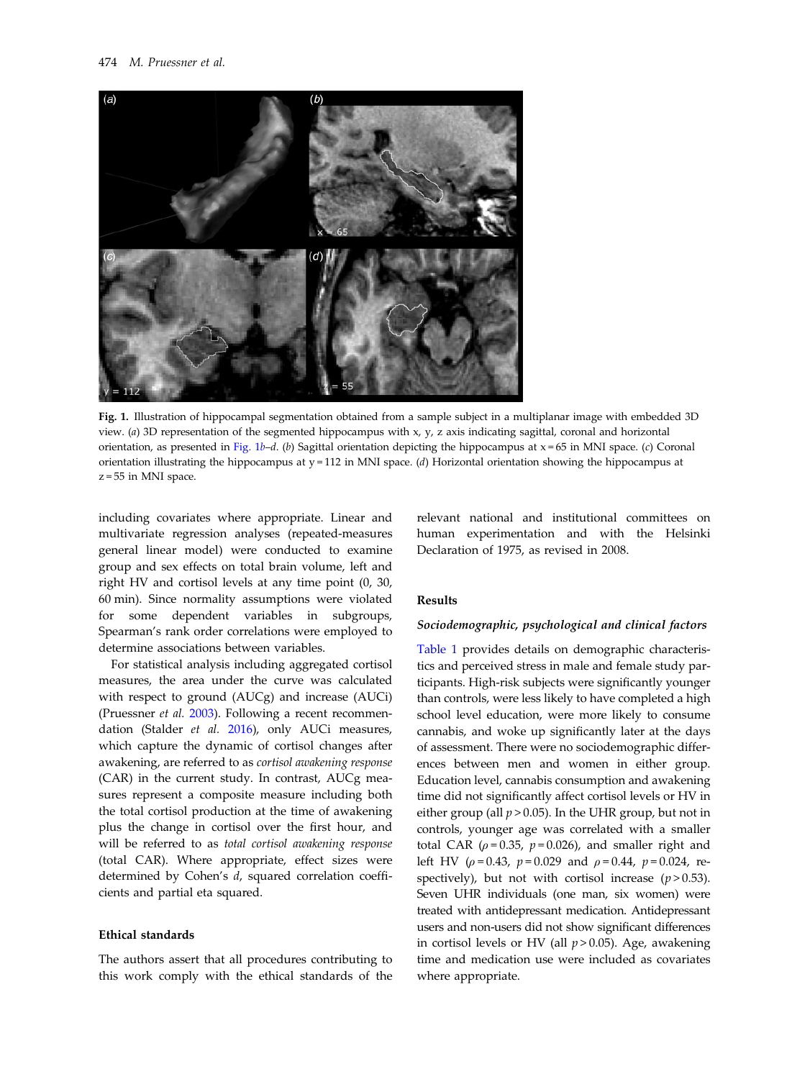<span id="page-3-0"></span>

Fig. 1. Illustration of hippocampal segmentation obtained from a sample subject in a multiplanar image with embedded 3D view. (a) 3D representation of the segmented hippocampus with x, y, z axis indicating sagittal, coronal and horizontal orientation, as presented in Fig. 1b-d. (b) Sagittal orientation depicting the hippocampus at  $x = 65$  in MNI space. (c) Coronal orientation illustrating the hippocampus at  $y = 112$  in MNI space. (d) Horizontal orientation showing the hippocampus at  $z = 55$  in MNI space.

including covariates where appropriate. Linear and multivariate regression analyses (repeated-measures general linear model) were conducted to examine group and sex effects on total brain volume, left and right HV and cortisol levels at any time point (0, 30, 60 min). Since normality assumptions were violated for some dependent variables in subgroups, Spearman's rank order correlations were employed to determine associations between variables.

For statistical analysis including aggregated cortisol measures, the area under the curve was calculated with respect to ground (AUCg) and increase (AUCi) (Pruessner et al. [2003](#page-11-0)). Following a recent recommendation (Stalder et al. [2016\)](#page-11-0), only AUCi measures, which capture the dynamic of cortisol changes after awakening, are referred to as cortisol awakening response (CAR) in the current study. In contrast, AUCg measures represent a composite measure including both the total cortisol production at the time of awakening plus the change in cortisol over the first hour, and will be referred to as total cortisol awakening response (total CAR). Where appropriate, effect sizes were determined by Cohen's d, squared correlation coefficients and partial eta squared.

## Ethical standards

The authors assert that all procedures contributing to this work comply with the ethical standards of the

relevant national and institutional committees on human experimentation and with the Helsinki Declaration of 1975, as revised in 2008.

## Results

## Sociodemographic, psychological and clinical factors

[Table 1](#page-4-0) provides details on demographic characteristics and perceived stress in male and female study participants. High-risk subjects were significantly younger than controls, were less likely to have completed a high school level education, were more likely to consume cannabis, and woke up significantly later at the days of assessment. There were no sociodemographic differences between men and women in either group. Education level, cannabis consumption and awakening time did not significantly affect cortisol levels or HV in either group (all  $p > 0.05$ ). In the UHR group, but not in controls, younger age was correlated with a smaller total CAR ( $\rho$  = 0.35,  $p$  = 0.026), and smaller right and left HV ( $\rho = 0.43$ ,  $p = 0.029$  and  $\rho = 0.44$ ,  $p = 0.024$ , respectively), but not with cortisol increase  $(p > 0.53)$ . Seven UHR individuals (one man, six women) were treated with antidepressant medication. Antidepressant users and non-users did not show significant differences in cortisol levels or HV (all  $p > 0.05$ ). Age, awakening time and medication use were included as covariates where appropriate.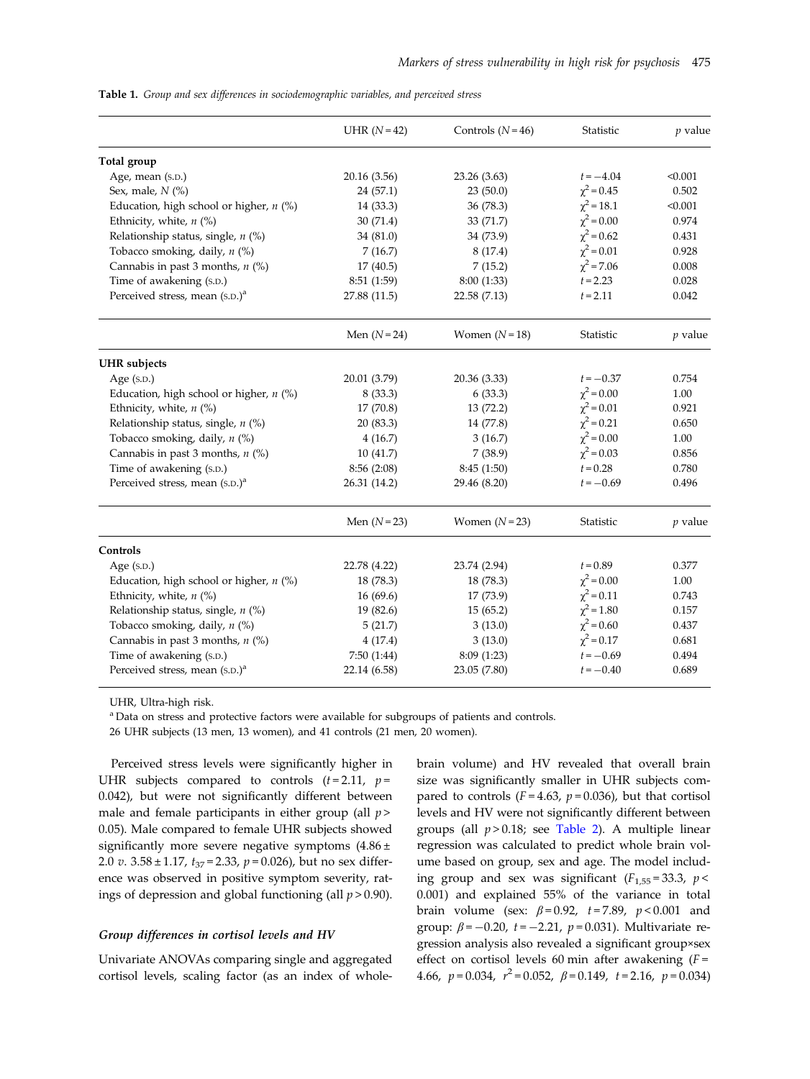<span id="page-4-0"></span>Table 1. Group and sex differences in sociodemographic variables, and perceived stress

|                                            | UHR $(N=42)$   | Controls $(N=46)$ | Statistic       | $p$ value |
|--------------------------------------------|----------------|-------------------|-----------------|-----------|
| Total group                                |                |                   |                 |           |
| Age, mean (s.p.)                           | 20.16 (3.56)   | 23.26 (3.63)      | $t = -4.04$     | < 0.001   |
| Sex, male, $N$ (%)                         | 24 (57.1)      | 23 (50.0)         | $\chi^2$ = 0.45 | 0.502     |
| Education, high school or higher, $n$ (%)  | 14 (33.3)      | 36 (78.3)         | $\chi^2$ = 18.1 | < 0.001   |
| Ethnicity, white, $n$ (%)                  | 30(71.4)       | 33 (71.7)         | $\chi^2$ = 0.00 | 0.974     |
| Relationship status, single, $n$ (%)       | 34 (81.0)      | 34 (73.9)         | $\chi^2$ = 0.62 | 0.431     |
| Tobacco smoking, daily, n (%)              | 7(16.7)        | 8(17.4)           | $\chi^2$ = 0.01 | 0.928     |
| Cannabis in past 3 months, $n$ (%)         | 17(40.5)       | 7(15.2)           | $\chi^2$ = 7.06 | 0.008     |
| Time of awakening (s.D.)                   | 8:51 (1:59)    | 8:00 (1:33)       | $t = 2.23$      | 0.028     |
| Perceived stress, mean (S.D.) <sup>a</sup> | 27.88 (11.5)   | 22.58 (7.13)      | $t = 2.11$      | 0.042     |
|                                            | Men $(N = 24)$ | Women $(N=18)$    | Statistic       | $p$ value |
| <b>UHR</b> subjects                        |                |                   |                 |           |
| Age $(S.D.)$                               | 20.01 (3.79)   | 20.36 (3.33)      | $t = -0.37$     | 0.754     |
| Education, high school or higher, $n$ (%)  | 8(33.3)        | 6(33.3)           | $\chi^2 = 0.00$ | 1.00      |
| Ethnicity, white, $n$ (%)                  | 17 (70.8)      | 13 (72.2)         | $\chi^2$ = 0.01 | 0.921     |
| Relationship status, single, $n$ (%)       | 20 (83.3)      | 14 (77.8)         | $\chi^2$ = 0.21 | 0.650     |
| Tobacco smoking, daily, n (%)              | 4(16.7)        | 3(16.7)           | $\chi^2$ = 0.00 | 1.00      |
| Cannabis in past 3 months, $n$ (%)         | 10(41.7)       | 7(38.9)           | $\chi^2$ = 0.03 | 0.856     |
| Time of awakening (s.p.)                   | 8:56(2:08)     | 8:45(1:50)        | $t = 0.28$      | 0.780     |
| Perceived stress, mean (s.p.) <sup>a</sup> | 26.31 (14.2)   | 29.46 (8.20)      | $t = -0.69$     | 0.496     |
|                                            | Men $(N=23)$   | Women $(N=23)$    | Statistic       | $p$ value |
| Controls                                   |                |                   |                 |           |
| Age (s.p.)                                 | 22.78 (4.22)   | 23.74 (2.94)      | $t = 0.89$      | 0.377     |
| Education, high school or higher, $n$ (%)  | 18 (78.3)      | 18 (78.3)         | $\chi^2$ = 0.00 | 1.00      |
| Ethnicity, white, $n$ (%)                  | 16(69.6)       | 17(73.9)          | $\chi^2$ = 0.11 | 0.743     |
| Relationship status, single, $n$ (%)       | 19 (82.6)      | 15(65.2)          | $\chi^2 = 1.80$ | 0.157     |
| Tobacco smoking, daily, n (%)              | 5(21.7)        | 3(13.0)           | $\chi^2$ = 0.60 | 0.437     |
| Cannabis in past 3 months, $n$ (%)         | 4(17.4)        | 3(13.0)           | $\chi^2$ = 0.17 | 0.681     |
| Time of awakening (s.D.)                   | 7:50(1:44)     | 8:09(1:23)        | $t = -0.69$     | 0.494     |
| Perceived stress, mean (s.p.) <sup>a</sup> | 22.14 (6.58)   | 23.05 (7.80)      | $t = -0.40$     | 0.689     |
|                                            |                |                   |                 |           |

UHR, Ultra-high risk.

<sup>a</sup> Data on stress and protective factors were available for subgroups of patients and controls.

26 UHR subjects (13 men, 13 women), and 41 controls (21 men, 20 women).

Perceived stress levels were significantly higher in UHR subjects compared to controls  $(t=2.11, p=$ 0.042), but were not significantly different between male and female participants in either group (all  $p$  > 0.05). Male compared to female UHR subjects showed significantly more severe negative symptoms  $(4.86 \pm$ 2.0 v.  $3.58 \pm 1.17$ ,  $t_{37} = 2.33$ ,  $p = 0.026$ ), but no sex difference was observed in positive symptom severity, ratings of depression and global functioning (all  $p > 0.90$ ).

## Group differences in cortisol levels and HV

Univariate ANOVAs comparing single and aggregated cortisol levels, scaling factor (as an index of wholebrain volume) and HV revealed that overall brain size was significantly smaller in UHR subjects compared to controls  $(F = 4.63, p = 0.036)$ , but that cortisol levels and HV were not significantly different between groups (all  $p > 0.18$ ; see [Table 2](#page-6-0)). A multiple linear regression was calculated to predict whole brain volume based on group, sex and age. The model including group and sex was significant  $(F_{1,55} = 33.3, p <$ 0.001) and explained 55% of the variance in total brain volume (sex:  $β = 0.92$ ,  $t = 7.89$ ,  $p < 0.001$  and group:  $\beta = -0.20$ ,  $t = -2.21$ ,  $p = 0.031$ ). Multivariate regression analysis also revealed a significant group×sex effect on cortisol levels 60 min after awakening  $(F =$ 4.66,  $p = 0.034$ ,  $r^2 = 0.052$ ,  $\beta = 0.149$ ,  $t = 2.16$ ,  $p = 0.034$ )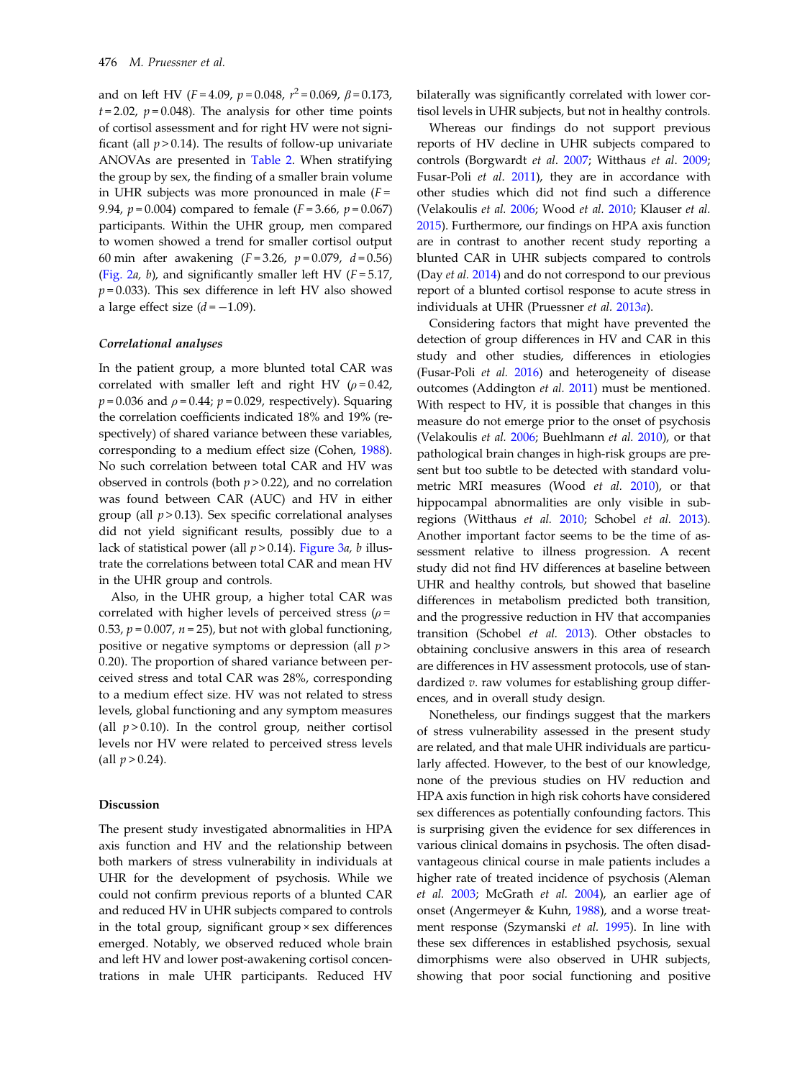and on left HV ( $F = 4.09$ ,  $p = 0.048$ ,  $r^2 = 0.069$ ,  $\beta = 0.173$ ,  $t = 2.02$ ,  $p = 0.048$ ). The analysis for other time points of cortisol assessment and for right HV were not significant (all  $p > 0.14$ ). The results of follow-up univariate ANOVAs are presented in [Table 2.](#page-6-0) When stratifying the group by sex, the finding of a smaller brain volume in UHR subjects was more pronounced in male  $(F =$ 9.94,  $p = 0.004$ ) compared to female ( $F = 3.66$ ,  $p = 0.067$ ) participants. Within the UHR group, men compared to women showed a trend for smaller cortisol output 60 min after awakening  $(F = 3.26, p = 0.079, d = 0.56)$ ([Fig. 2](#page-7-0)a, b), and significantly smaller left HV ( $F = 5.17$ ,  $p = 0.033$ ). This sex difference in left HV also showed a large effect size  $(d = -1.09)$ .

## Correlational analyses

In the patient group, a more blunted total CAR was correlated with smaller left and right HV ( $\rho$  = 0.42,  $p = 0.036$  and  $\rho = 0.44$ ;  $p = 0.029$ , respectively). Squaring the correlation coefficients indicated 18% and 19% (respectively) of shared variance between these variables, corresponding to a medium effect size (Cohen, [1988](#page-9-0)). No such correlation between total CAR and HV was observed in controls (both  $p > 0.22$ ), and no correlation was found between CAR (AUC) and HV in either group (all  $p > 0.13$ ). Sex specific correlational analyses did not yield significant results, possibly due to a lack of statistical power (all  $p > 0.14$ ). [Figure 3](#page-7-0)*a*, *b* illustrate the correlations between total CAR and mean HV in the UHR group and controls.

Also, in the UHR group, a higher total CAR was correlated with higher levels of perceived stress ( $\rho$  = 0.53,  $p = 0.007$ ,  $n = 25$ ), but not with global functioning, positive or negative symptoms or depression (all  $p$  > 0.20). The proportion of shared variance between perceived stress and total CAR was 28%, corresponding to a medium effect size. HV was not related to stress levels, global functioning and any symptom measures (all  $p > 0.10$ ). In the control group, neither cortisol levels nor HV were related to perceived stress levels (all  $p > 0.24$ ).

## Discussion

The present study investigated abnormalities in HPA axis function and HV and the relationship between both markers of stress vulnerability in individuals at UHR for the development of psychosis. While we could not confirm previous reports of a blunted CAR and reduced HV in UHR subjects compared to controls in the total group, significant group × sex differences emerged. Notably, we observed reduced whole brain and left HV and lower post-awakening cortisol concentrations in male UHR participants. Reduced HV bilaterally was significantly correlated with lower cortisol levels in UHR subjects, but not in healthy controls.

Whereas our findings do not support previous reports of HV decline in UHR subjects compared to controls (Borgwardt et al. [2007;](#page-9-0) Witthaus et al. [2009](#page-12-0); Fusar-Poli et al. [2011](#page-9-0)), they are in accordance with other studies which did not find such a difference (Velakoulis et al. [2006;](#page-11-0) Wood et al. [2010;](#page-12-0) Klauser et al. [2015\)](#page-10-0). Furthermore, our findings on HPA axis function are in contrast to another recent study reporting a blunted CAR in UHR subjects compared to controls (Day et al. [2014](#page-9-0)) and do not correspond to our previous report of a blunted cortisol response to acute stress in individuals at UHR (Pruessner et al. [2013](#page-11-0)a).

Considering factors that might have prevented the detection of group differences in HV and CAR in this study and other studies, differences in etiologies (Fusar-Poli et al. [2016](#page-10-0)) and heterogeneity of disease outcomes (Addington et al. [2011\)](#page-9-0) must be mentioned. With respect to HV, it is possible that changes in this measure do not emerge prior to the onset of psychosis (Velakoulis et al. [2006;](#page-11-0) Buehlmann et al. [2010](#page-9-0)), or that pathological brain changes in high-risk groups are present but too subtle to be detected with standard volumetric MRI measures (Wood et al. [2010\)](#page-12-0), or that hippocampal abnormalities are only visible in subregions (Witthaus et al. [2010;](#page-12-0) Schobel et al. [2013](#page-11-0)). Another important factor seems to be the time of assessment relative to illness progression. A recent study did not find HV differences at baseline between UHR and healthy controls, but showed that baseline differences in metabolism predicted both transition, and the progressive reduction in HV that accompanies transition (Schobel et al. [2013](#page-11-0)). Other obstacles to obtaining conclusive answers in this area of research are differences in HV assessment protocols, use of standardized  $v$ . raw volumes for establishing group differences, and in overall study design.

Nonetheless, our findings suggest that the markers of stress vulnerability assessed in the present study are related, and that male UHR individuals are particularly affected. However, to the best of our knowledge, none of the previous studies on HV reduction and HPA axis function in high risk cohorts have considered sex differences as potentially confounding factors. This is surprising given the evidence for sex differences in various clinical domains in psychosis. The often disadvantageous clinical course in male patients includes a higher rate of treated incidence of psychosis (Aleman et al. [2003;](#page-9-0) McGrath et al. [2004\)](#page-10-0), an earlier age of onset (Angermeyer & Kuhn, [1988](#page-9-0)), and a worse treatment response (Szymanski et al. [1995](#page-11-0)). In line with these sex differences in established psychosis, sexual dimorphisms were also observed in UHR subjects, showing that poor social functioning and positive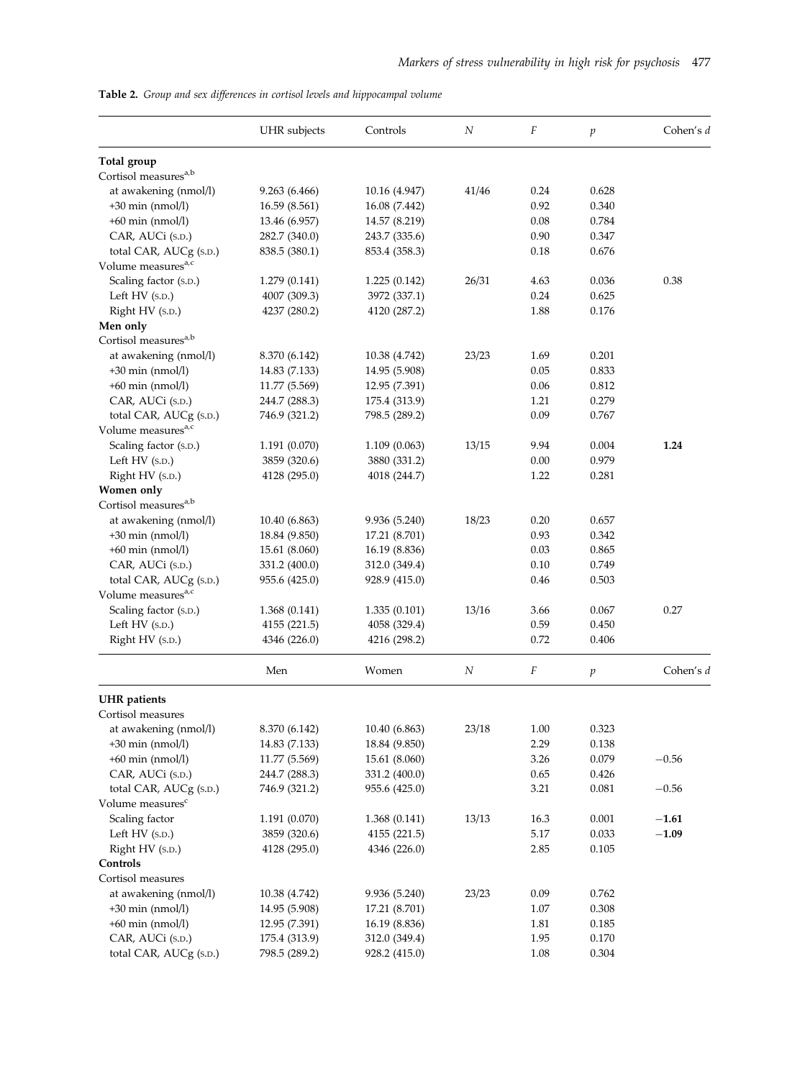|                                  | <b>UHR</b> subjects | Controls      | N     | F    | $\,p\,$          | Cohen's d |
|----------------------------------|---------------------|---------------|-------|------|------------------|-----------|
| Total group                      |                     |               |       |      |                  |           |
| Cortisol measures <sup>a,b</sup> |                     |               |       |      |                  |           |
| at awakening (nmol/l)            | 9.263(6.466)        | 10.16 (4.947) | 41/46 | 0.24 | 0.628            |           |
| $+30$ min (nmol/l)               | 16.59 (8.561)       | 16.08 (7.442) |       | 0.92 | 0.340            |           |
| $+60$ min (nmol/l)               | 13.46 (6.957)       | 14.57 (8.219) |       | 0.08 | 0.784            |           |
| CAR, AUCi (s.p.)                 | 282.7 (340.0)       | 243.7 (335.6) |       | 0.90 | 0.347            |           |
| total CAR, AUCg (s.p.)           | 838.5 (380.1)       | 853.4 (358.3) |       | 0.18 | 0.676            |           |
| Volume measures <sup>a,c</sup>   |                     |               |       |      |                  |           |
| Scaling factor (s.p.)            | 1.279(0.141)        | 1.225(0.142)  | 26/31 | 4.63 | 0.036            | 0.38      |
| Left HV (s.p.)                   | 4007 (309.3)        | 3972 (337.1)  |       | 0.24 | 0.625            |           |
| Right HV (s.p.)                  | 4237 (280.2)        | 4120 (287.2)  |       | 1.88 | 0.176            |           |
| Men only                         |                     |               |       |      |                  |           |
| Cortisol measures <sup>a,b</sup> |                     |               |       |      |                  |           |
| at awakening (nmol/l)            | 8.370 (6.142)       | 10.38 (4.742) | 23/23 | 1.69 | 0.201            |           |
| $+30$ min (nmol/l)               | 14.83 (7.133)       | 14.95 (5.908) |       | 0.05 | 0.833            |           |
| $+60$ min (nmol/l)               | 11.77 (5.569)       | 12.95 (7.391) |       | 0.06 | 0.812            |           |
| CAR, AUCi (s.p.)                 | 244.7 (288.3)       | 175.4 (313.9) |       | 1.21 | 0.279            |           |
| total CAR, AUCg (S.D.)           | 746.9 (321.2)       | 798.5 (289.2) |       | 0.09 | 0.767            |           |
| Volume measures <sup>a,c</sup>   |                     |               |       |      |                  |           |
| Scaling factor (s.p.)            | 1.191 (0.070)       | 1.109(0.063)  | 13/15 | 9.94 | 0.004            | 1.24      |
| Left HV (s.p.)                   | 3859 (320.6)        | 3880 (331.2)  |       | 0.00 | 0.979            |           |
| Right HV (s.p.)                  | 4128 (295.0)        | 4018 (244.7)  |       | 1.22 | 0.281            |           |
| Women only                       |                     |               |       |      |                  |           |
| Cortisol measures <sup>a,b</sup> |                     |               |       |      |                  |           |
| at awakening (nmol/l)            | 10.40 (6.863)       | 9.936 (5.240) | 18/23 | 0.20 | 0.657            |           |
| $+30$ min (nmol/l)               | 18.84 (9.850)       | 17.21 (8.701) |       | 0.93 | 0.342            |           |
|                                  |                     |               |       |      |                  |           |
| $+60$ min (nmol/l)               | 15.61 (8.060)       | 16.19 (8.836) |       | 0.03 | 0.865            |           |
| CAR, AUCi (s.p.)                 | 331.2 (400.0)       | 312.0 (349.4) |       | 0.10 | 0.749            |           |
| total CAR, AUCg (s.p.)           | 955.6 (425.0)       | 928.9 (415.0) |       | 0.46 | 0.503            |           |
| Volume measures <sup>a,c</sup>   |                     |               |       |      |                  |           |
| Scaling factor (s.D.)            | 1.368(0.141)        | 1.335(0.101)  | 13/16 | 3.66 | 0.067            | 0.27      |
| Left HV (s.p.)                   | 4155 (221.5)        | 4058 (329.4)  |       | 0.59 | 0.450            |           |
| Right HV (s.p.)                  | 4346 (226.0)        | 4216 (298.2)  |       | 0.72 | 0.406            |           |
|                                  | Men                 | Women         | Ν     | F    | $\boldsymbol{p}$ | Cohen's d |
| <b>UHR</b> patients              |                     |               |       |      |                  |           |
| Cortisol measures                |                     |               |       |      |                  |           |
| at awakening (nmol/l)            | 8.370 (6.142)       | 10.40 (6.863) | 23/18 | 1.00 | 0.323            |           |
| $+30$ min (nmol/l)               | 14.83 (7.133)       | 18.84 (9.850) |       | 2.29 | 0.138            |           |
| $+60$ min (nmol/l)               | 11.77 (5.569)       | 15.61 (8.060) |       | 3.26 | 0.079            | $-0.56$   |
| CAR, AUCi (s.p.)                 | 244.7 (288.3)       | 331.2 (400.0) |       | 0.65 | 0.426            |           |
| total CAR, AUCg (s.p.)           | 746.9 (321.2)       | 955.6 (425.0) |       | 3.21 | 0.081            | $-0.56$   |
| Volume measures <sup>c</sup>     |                     |               |       |      |                  |           |
| Scaling factor                   | 1.191(0.070)        | 1.368(0.141)  | 13/13 | 16.3 | 0.001            | $-1.61$   |
| Left HV (s.p.)                   | 3859 (320.6)        | 4155 (221.5)  |       | 5.17 | 0.033            | $-1.09$   |
| Right HV (s.p.)                  | 4128 (295.0)        | 4346 (226.0)  |       | 2.85 | 0.105            |           |
| Controls                         |                     |               |       |      |                  |           |
| Cortisol measures                |                     |               |       |      |                  |           |
| at awakening (nmol/l)            | 10.38 (4.742)       | 9.936 (5.240) | 23/23 | 0.09 | 0.762            |           |
| $+30$ min (nmol/l)               | 14.95 (5.908)       | 17.21 (8.701) |       | 1.07 | 0.308            |           |
| $+60$ min (nmol/l)               | 12.95 (7.391)       | 16.19 (8.836) |       | 1.81 | 0.185            |           |
| CAR, AUCi (s.p.)                 | 175.4 (313.9)       | 312.0 (349.4) |       | 1.95 | 0.170            |           |
| total CAR, AUCg (s.p.)           | 798.5 (289.2)       | 928.2 (415.0) |       | 1.08 | 0.304            |           |
|                                  |                     |               |       |      |                  |           |

<span id="page-6-0"></span>Table 2. Group and sex differences in cortisol levels and hippocampal volume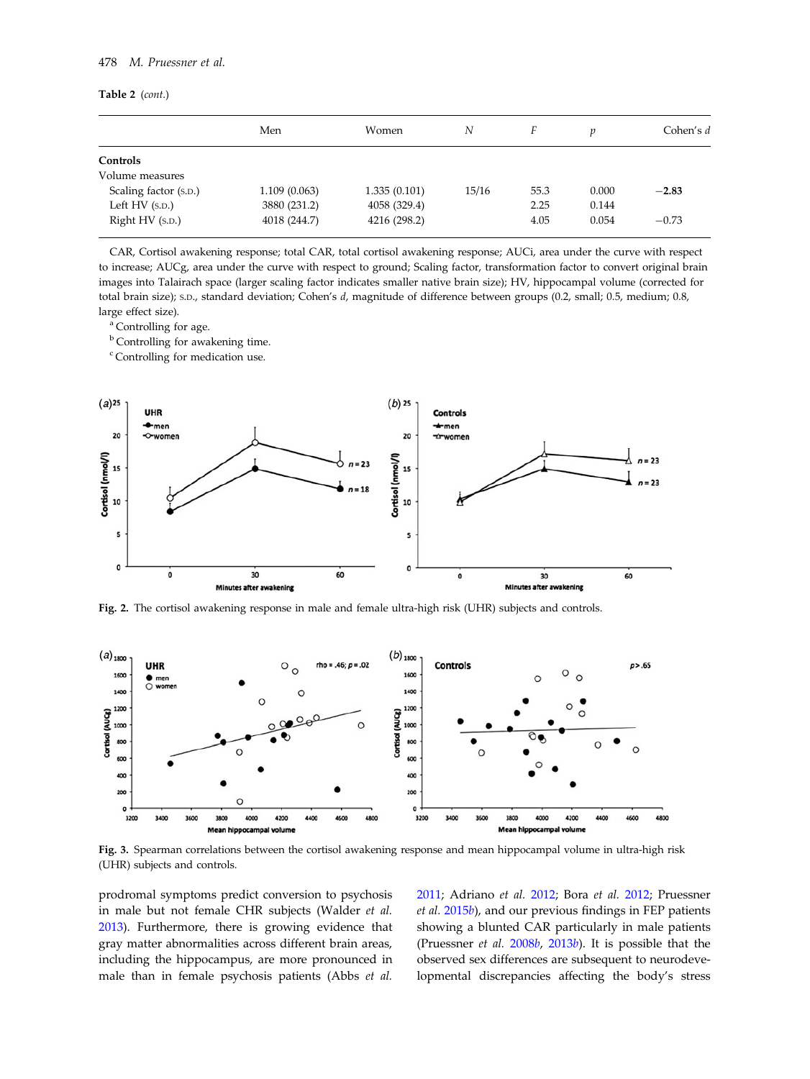<span id="page-7-0"></span>

| <b>Table 2</b> (cont.) |  |  |
|------------------------|--|--|
|------------------------|--|--|

|                       | Men          | Women        | N     |      | p     | Cohen's d |
|-----------------------|--------------|--------------|-------|------|-------|-----------|
| Controls              |              |              |       |      |       |           |
| Volume measures       |              |              |       |      |       |           |
| Scaling factor (s.p.) | 1.109(0.063) | 1.335(0.101) | 15/16 | 55.3 | 0.000 | $-2.83$   |
| Left $HV$ (s.p.)      | 3880 (231.2) | 4058 (329.4) |       | 2.25 | 0.144 |           |
| Right $HV$ (s.p.)     | 4018 (244.7) | 4216 (298.2) |       | 4.05 | 0.054 | $-0.73$   |

CAR, Cortisol awakening response; total CAR, total cortisol awakening response; AUCi, area under the curve with respect to increase; AUCg, area under the curve with respect to ground; Scaling factor, transformation factor to convert original brain images into Talairach space (larger scaling factor indicates smaller native brain size); HV, hippocampal volume (corrected for total brain size); S.D., standard deviation; Cohen's d, magnitude of difference between groups (0.2, small; 0.5, medium; 0.8, large effect size).

<sup>a</sup> Controlling for age.

<sup>b</sup> Controlling for awakening time.

<sup>c</sup> Controlling for medication use.



Fig. 2. The cortisol awakening response in male and female ultra-high risk (UHR) subjects and controls.



Fig. 3. Spearman correlations between the cortisol awakening response and mean hippocampal volume in ultra-high risk (UHR) subjects and controls.

prodromal symptoms predict conversion to psychosis in male but not female CHR subjects (Walder et al. [2013\)](#page-12-0). Furthermore, there is growing evidence that gray matter abnormalities across different brain areas, including the hippocampus, are more pronounced in male than in female psychosis patients (Abbs et al.

[2011;](#page-9-0) Adriano et al. [2012;](#page-9-0) Bora et al. [2012;](#page-9-0) Pruessner et al. [2015](#page-11-0)b), and our previous findings in FEP patients showing a blunted CAR particularly in male patients (Pruessner et al. [2008](#page-11-0)b, [2013](#page-11-0)b). It is possible that the observed sex differences are subsequent to neurodevelopmental discrepancies affecting the body's stress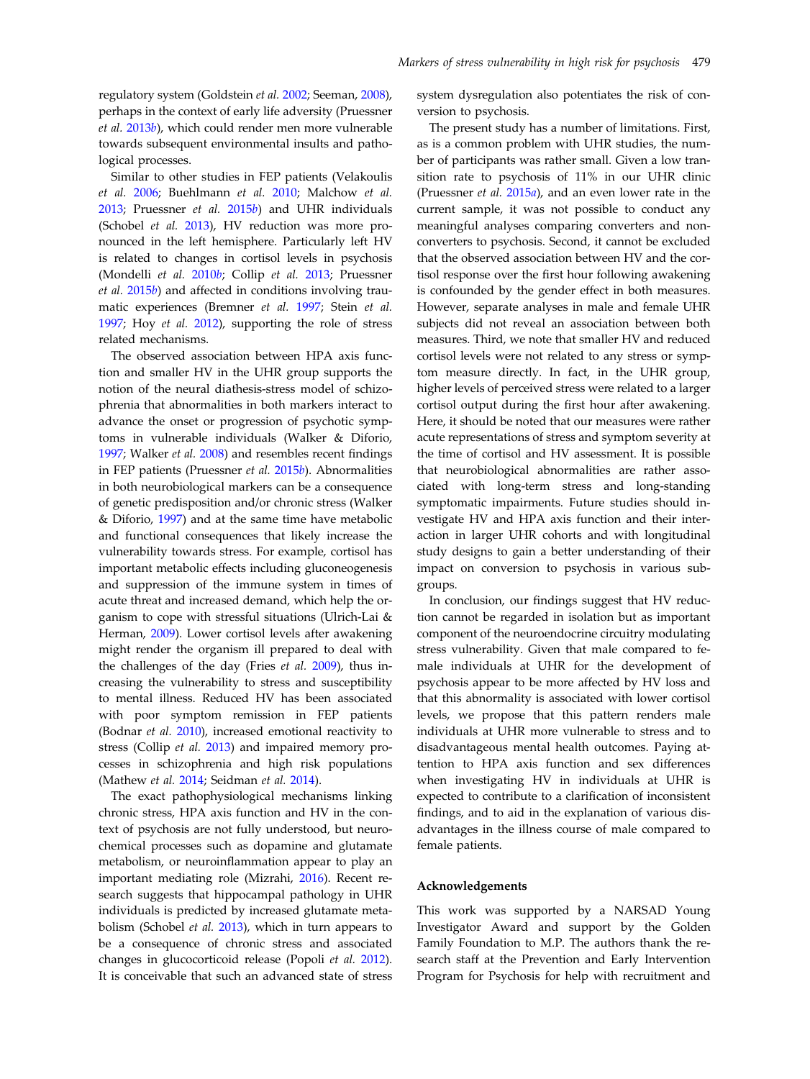regulatory system (Goldstein et al. [2002;](#page-10-0) Seeman, [2008](#page-11-0)), perhaps in the context of early life adversity (Pruessner et al. [2013](#page-11-0)b), which could render men more vulnerable towards subsequent environmental insults and pathological processes.

Similar to other studies in FEP patients (Velakoulis et al. [2006](#page-11-0); Buehlmann et al. [2010](#page-9-0); Malchow et al. [2013;](#page-10-0) Pruessner et al. [2015](#page-11-0)b) and UHR individuals (Schobel et al. [2013](#page-11-0)), HV reduction was more pronounced in the left hemisphere. Particularly left HV is related to changes in cortisol levels in psychosis (Mondelli et al. [2010](#page-10-0)b; Collip et al. [2013;](#page-9-0) Pruessner et al. [2015](#page-11-0)b) and affected in conditions involving traumatic experiences (Bremner et al. [1997;](#page-9-0) Stein et al. [1997;](#page-11-0) Hoy et al. [2012\)](#page-10-0), supporting the role of stress related mechanisms.

The observed association between HPA axis function and smaller HV in the UHR group supports the notion of the neural diathesis-stress model of schizophrenia that abnormalities in both markers interact to advance the onset or progression of psychotic symptoms in vulnerable individuals (Walker & Diforio, [1997;](#page-12-0) Walker et al. [2008\)](#page-12-0) and resembles recent findings in FEP patients (Pruessner et al. [2015](#page-11-0)b). Abnormalities in both neurobiological markers can be a consequence of genetic predisposition and/or chronic stress (Walker & Diforio, [1997](#page-12-0)) and at the same time have metabolic and functional consequences that likely increase the vulnerability towards stress. For example, cortisol has important metabolic effects including gluconeogenesis and suppression of the immune system in times of acute threat and increased demand, which help the organism to cope with stressful situations (Ulrich-Lai & Herman, [2009\)](#page-11-0). Lower cortisol levels after awakening might render the organism ill prepared to deal with the challenges of the day (Fries et al. [2009\)](#page-9-0), thus increasing the vulnerability to stress and susceptibility to mental illness. Reduced HV has been associated with poor symptom remission in FEP patients (Bodnar et al. [2010](#page-9-0)), increased emotional reactivity to stress (Collip et al. [2013\)](#page-9-0) and impaired memory processes in schizophrenia and high risk populations (Mathew et al. [2014;](#page-10-0) Seidman et al. [2014\)](#page-11-0).

The exact pathophysiological mechanisms linking chronic stress, HPA axis function and HV in the context of psychosis are not fully understood, but neurochemical processes such as dopamine and glutamate metabolism, or neuroinflammation appear to play an important mediating role (Mizrahi, [2016](#page-10-0)). Recent research suggests that hippocampal pathology in UHR individuals is predicted by increased glutamate metabolism (Schobel et al. [2013\)](#page-11-0), which in turn appears to be a consequence of chronic stress and associated changes in glucocorticoid release (Popoli et al. [2012](#page-11-0)). It is conceivable that such an advanced state of stress system dysregulation also potentiates the risk of conversion to psychosis.

The present study has a number of limitations. First, as is a common problem with UHR studies, the number of participants was rather small. Given a low transition rate to psychosis of 11% in our UHR clinic (Pruessner *et al.* [2015](#page-11-0)*a*), and an even lower rate in the current sample, it was not possible to conduct any meaningful analyses comparing converters and nonconverters to psychosis. Second, it cannot be excluded that the observed association between HV and the cortisol response over the first hour following awakening is confounded by the gender effect in both measures. However, separate analyses in male and female UHR subjects did not reveal an association between both measures. Third, we note that smaller HV and reduced cortisol levels were not related to any stress or symptom measure directly. In fact, in the UHR group, higher levels of perceived stress were related to a larger cortisol output during the first hour after awakening. Here, it should be noted that our measures were rather acute representations of stress and symptom severity at the time of cortisol and HV assessment. It is possible that neurobiological abnormalities are rather associated with long-term stress and long-standing symptomatic impairments. Future studies should investigate HV and HPA axis function and their interaction in larger UHR cohorts and with longitudinal study designs to gain a better understanding of their impact on conversion to psychosis in various subgroups.

In conclusion, our findings suggest that HV reduction cannot be regarded in isolation but as important component of the neuroendocrine circuitry modulating stress vulnerability. Given that male compared to female individuals at UHR for the development of psychosis appear to be more affected by HV loss and that this abnormality is associated with lower cortisol levels, we propose that this pattern renders male individuals at UHR more vulnerable to stress and to disadvantageous mental health outcomes. Paying attention to HPA axis function and sex differences when investigating HV in individuals at UHR is expected to contribute to a clarification of inconsistent findings, and to aid in the explanation of various disadvantages in the illness course of male compared to female patients.

## Acknowledgements

This work was supported by a NARSAD Young Investigator Award and support by the Golden Family Foundation to M.P. The authors thank the research staff at the Prevention and Early Intervention Program for Psychosis for help with recruitment and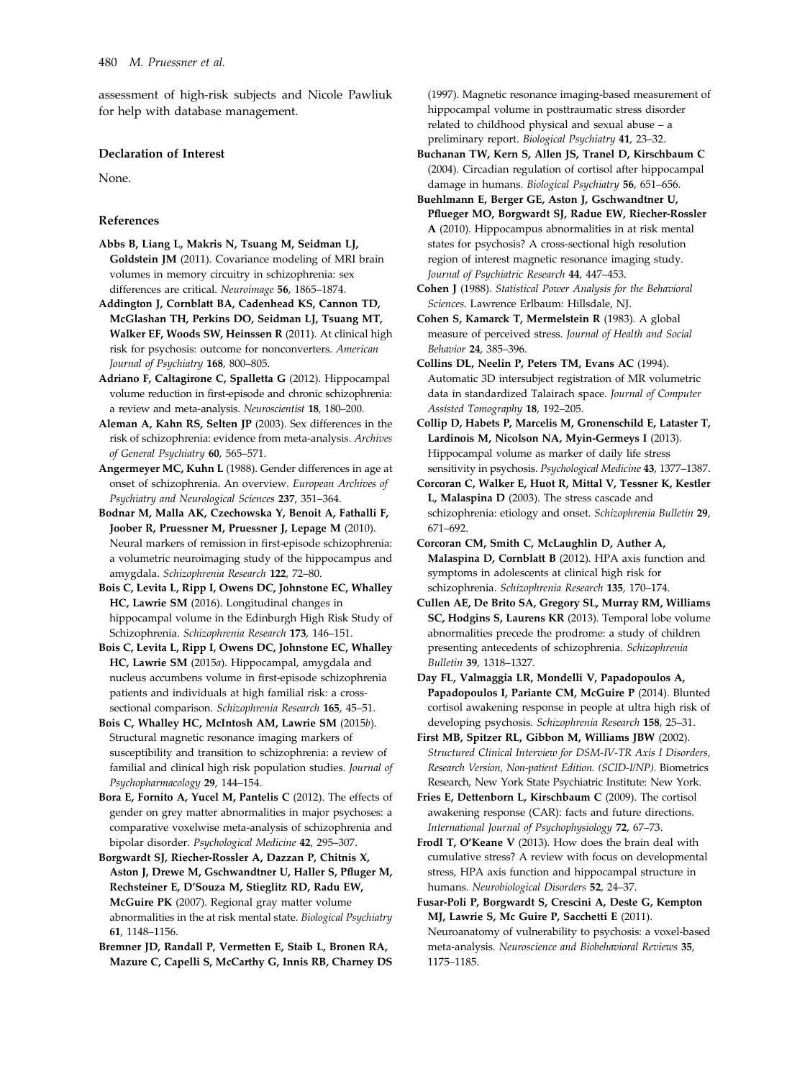<span id="page-9-0"></span>assessment of high-risk subjects and Nicole Pawliuk for help with database management.

## Declaration of Interest

None.

## References

- Abbs B, Liang L, Makris N, Tsuang M, Seidman LJ, Goldstein JM (2011). Covariance modeling of MRI brain volumes in memory circuitry in schizophrenia: sex differences are critical. Neuroimage 56, 1865–1874.
- Addington J, Cornblatt BA, Cadenhead KS, Cannon TD, McGlashan TH, Perkins DO, Seidman LJ, Tsuang MT, Walker EF, Woods SW, Heinssen R (2011). At clinical high risk for psychosis: outcome for nonconverters. American Journal of Psychiatry 168, 800–805.
- Adriano F, Caltagirone C, Spalletta G (2012). Hippocampal volume reduction in first-episode and chronic schizophrenia: a review and meta-analysis. Neuroscientist 18, 180–200.
- Aleman A, Kahn RS, Selten JP (2003). Sex differences in the risk of schizophrenia: evidence from meta-analysis. Archives of General Psychiatry 60, 565–571.

Angermeyer MC, Kuhn L (1988). Gender differences in age at onset of schizophrenia. An overview. European Archives of Psychiatry and Neurological Sciences 237, 351–364.

Bodnar M, Malla AK, Czechowska Y, Benoit A, Fathalli F, Joober R, Pruessner M, Pruessner J, Lepage M (2010). Neural markers of remission in first-episode schizophrenia: a volumetric neuroimaging study of the hippocampus and amygdala. Schizophrenia Research 122, 72–80.

- Bois C, Levita L, Ripp I, Owens DC, Johnstone EC, Whalley HC, Lawrie SM (2016). Longitudinal changes in hippocampal volume in the Edinburgh High Risk Study of Schizophrenia. Schizophrenia Research 173, 146–151.
- Bois C, Levita L, Ripp I, Owens DC, Johnstone EC, Whalley HC, Lawrie SM (2015a). Hippocampal, amygdala and nucleus accumbens volume in first-episode schizophrenia patients and individuals at high familial risk: a crosssectional comparison. Schizophrenia Research 165, 45–51.

Bois C, Whalley HC, McIntosh AM, Lawrie SM (2015b). Structural magnetic resonance imaging markers of susceptibility and transition to schizophrenia: a review of familial and clinical high risk population studies. Journal of Psychopharmacology 29, 144–154.

Bora E, Fornito A, Yucel M, Pantelis C (2012). The effects of gender on grey matter abnormalities in major psychoses: a comparative voxelwise meta-analysis of schizophrenia and bipolar disorder. Psychological Medicine 42, 295–307.

Borgwardt SJ, Riecher-Rossler A, Dazzan P, Chitnis X, Aston J, Drewe M, Gschwandtner U, Haller S, Pfluger M, Rechsteiner E, D'Souza M, Stieglitz RD, Radu EW, McGuire PK (2007). Regional gray matter volume abnormalities in the at risk mental state. Biological Psychiatry 61, 1148–1156.

Bremner JD, Randall P, Vermetten E, Staib L, Bronen RA, Mazure C, Capelli S, McCarthy G, Innis RB, Charney DS (1997). Magnetic resonance imaging-based measurement of hippocampal volume in posttraumatic stress disorder related to childhood physical and sexual abuse – a preliminary report. Biological Psychiatry 41, 23–32.

Buchanan TW, Kern S, Allen JS, Tranel D, Kirschbaum C (2004). Circadian regulation of cortisol after hippocampal damage in humans. Biological Psychiatry 56, 651–656.

Buehlmann E, Berger GE, Aston J, Gschwandtner U, Pflueger MO, Borgwardt SJ, Radue EW, Riecher-Rossler A (2010). Hippocampus abnormalities in at risk mental states for psychosis? A cross-sectional high resolution region of interest magnetic resonance imaging study. Journal of Psychiatric Research 44, 447–453.

- Cohen J (1988). Statistical Power Analysis for the Behavioral Sciences. Lawrence Erlbaum: Hillsdale, NJ.
- Cohen S, Kamarck T, Mermelstein R (1983). A global measure of perceived stress. Journal of Health and Social Behavior 24, 385–396.
- Collins DL, Neelin P, Peters TM, Evans AC (1994). Automatic 3D intersubject registration of MR volumetric data in standardized Talairach space. Journal of Computer Assisted Tomography 18, 192–205.

Collip D, Habets P, Marcelis M, Gronenschild E, Lataster T, Lardinois M, Nicolson NA, Myin-Germeys I (2013). Hippocampal volume as marker of daily life stress sensitivity in psychosis. Psychological Medicine 43, 1377–1387.

Corcoran C, Walker E, Huot R, Mittal V, Tessner K, Kestler L, Malaspina D (2003). The stress cascade and schizophrenia: etiology and onset. Schizophrenia Bulletin 29, 671–692.

Corcoran CM, Smith C, McLaughlin D, Auther A, Malaspina D, Cornblatt B (2012). HPA axis function and symptoms in adolescents at clinical high risk for schizophrenia. Schizophrenia Research 135, 170–174.

Cullen AE, De Brito SA, Gregory SL, Murray RM, Williams SC, Hodgins S, Laurens KR (2013). Temporal lobe volume abnormalities precede the prodrome: a study of children presenting antecedents of schizophrenia. Schizophrenia Bulletin 39, 1318–1327.

Day FL, Valmaggia LR, Mondelli V, Papadopoulos A, Papadopoulos I, Pariante CM, McGuire P (2014). Blunted cortisol awakening response in people at ultra high risk of developing psychosis. Schizophrenia Research 158, 25–31.

First MB, Spitzer RL, Gibbon M, Williams JBW (2002). Structured Clinical Interview for DSM-IV-TR Axis I Disorders, Research Version, Non-patient Edition. (SCID-I/NP). Biometrics Research, New York State Psychiatric Institute: New York.

Fries E, Dettenborn L, Kirschbaum C (2009). The cortisol awakening response (CAR): facts and future directions. International Journal of Psychophysiology 72, 67–73.

Frodl T, O'Keane V (2013). How does the brain deal with cumulative stress? A review with focus on developmental stress, HPA axis function and hippocampal structure in humans. Neurobiological Disorders 52, 24–37.

Fusar-Poli P, Borgwardt S, Crescini A, Deste G, Kempton MJ, Lawrie S, Mc Guire P, Sacchetti E (2011). Neuroanatomy of vulnerability to psychosis: a voxel-based meta-analysis. Neuroscience and Biobehavioral Reviews 35, 1175–1185.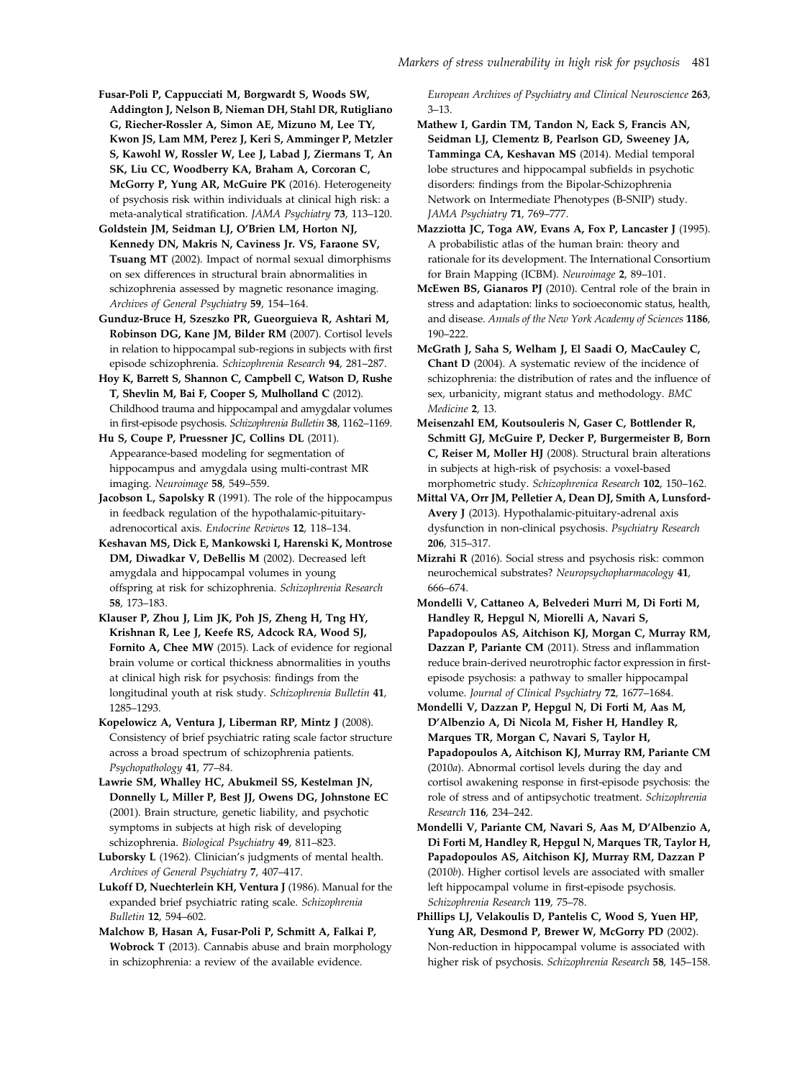- <span id="page-10-0"></span>Fusar-Poli P, Cappucciati M, Borgwardt S, Woods SW, Addington J, Nelson B, Nieman DH, Stahl DR, Rutigliano G, Riecher-Rossler A, Simon AE, Mizuno M, Lee TY, Kwon JS, Lam MM, Perez J, Keri S, Amminger P, Metzler S, Kawohl W, Rossler W, Lee J, Labad J, Ziermans T, An SK, Liu CC, Woodberry KA, Braham A, Corcoran C, McGorry P, Yung AR, McGuire PK (2016). Heterogeneity of psychosis risk within individuals at clinical high risk: a meta-analytical stratification. JAMA Psychiatry 73, 113–120.
- Goldstein JM, Seidman LJ, O'Brien LM, Horton NJ, Kennedy DN, Makris N, Caviness Jr. VS, Faraone SV, Tsuang MT (2002). Impact of normal sexual dimorphisms on sex differences in structural brain abnormalities in schizophrenia assessed by magnetic resonance imaging. Archives of General Psychiatry 59, 154–164.
- Gunduz-Bruce H, Szeszko PR, Gueorguieva R, Ashtari M, Robinson DG, Kane JM, Bilder RM (2007). Cortisol levels in relation to hippocampal sub-regions in subjects with first episode schizophrenia. Schizophrenia Research 94, 281–287.
- Hoy K, Barrett S, Shannon C, Campbell C, Watson D, Rushe T, Shevlin M, Bai F, Cooper S, Mulholland C (2012). Childhood trauma and hippocampal and amygdalar volumes in first-episode psychosis. Schizophrenia Bulletin 38, 1162–1169.
- Hu S, Coupe P, Pruessner JC, Collins DL (2011). Appearance-based modeling for segmentation of hippocampus and amygdala using multi-contrast MR imaging. Neuroimage 58, 549–559.
- Jacobson L, Sapolsky R (1991). The role of the hippocampus in feedback regulation of the hypothalamic-pituitaryadrenocortical axis. Endocrine Reviews 12, 118–134.
- Keshavan MS, Dick E, Mankowski I, Harenski K, Montrose DM, Diwadkar V, DeBellis M (2002). Decreased left amygdala and hippocampal volumes in young offspring at risk for schizophrenia. Schizophrenia Research 58, 173–183.
- Klauser P, Zhou J, Lim JK, Poh JS, Zheng H, Tng HY, Krishnan R, Lee J, Keefe RS, Adcock RA, Wood SJ, Fornito A, Chee MW (2015). Lack of evidence for regional brain volume or cortical thickness abnormalities in youths at clinical high risk for psychosis: findings from the longitudinal youth at risk study. Schizophrenia Bulletin 41, 1285–1293.
- Kopelowicz A, Ventura J, Liberman RP, Mintz J (2008). Consistency of brief psychiatric rating scale factor structure across a broad spectrum of schizophrenia patients. Psychopathology 41, 77–84.
- Lawrie SM, Whalley HC, Abukmeil SS, Kestelman JN, Donnelly L, Miller P, Best JJ, Owens DG, Johnstone EC (2001). Brain structure, genetic liability, and psychotic symptoms in subjects at high risk of developing schizophrenia. Biological Psychiatry 49, 811–823.
- Luborsky L (1962). Clinician's judgments of mental health. Archives of General Psychiatry 7, 407–417.
- Lukoff D, Nuechterlein KH, Ventura J (1986). Manual for the expanded brief psychiatric rating scale. Schizophrenia Bulletin 12, 594–602.
- Malchow B, Hasan A, Fusar-Poli P, Schmitt A, Falkai P, Wobrock T (2013). Cannabis abuse and brain morphology in schizophrenia: a review of the available evidence.

European Archives of Psychiatry and Clinical Neuroscience 263, 3–13.

- Mathew I, Gardin TM, Tandon N, Eack S, Francis AN, Seidman LJ, Clementz B, Pearlson GD, Sweeney JA, Tamminga CA, Keshavan MS (2014). Medial temporal lobe structures and hippocampal subfields in psychotic disorders: findings from the Bipolar-Schizophrenia Network on Intermediate Phenotypes (B-SNIP) study. JAMA Psychiatry 71, 769–777.
- Mazziotta JC, Toga AW, Evans A, Fox P, Lancaster J (1995). A probabilistic atlas of the human brain: theory and rationale for its development. The International Consortium for Brain Mapping (ICBM). Neuroimage 2, 89–101.
- McEwen BS, Gianaros PJ (2010). Central role of the brain in stress and adaptation: links to socioeconomic status, health, and disease. Annals of the New York Academy of Sciences 1186, 190–222.
- McGrath J, Saha S, Welham J, El Saadi O, MacCauley C, Chant D (2004). A systematic review of the incidence of schizophrenia: the distribution of rates and the influence of sex, urbanicity, migrant status and methodology. BMC Medicine 2, 13.
- Meisenzahl EM, Koutsouleris N, Gaser C, Bottlender R, Schmitt GJ, McGuire P, Decker P, Burgermeister B, Born C, Reiser M, Moller HJ (2008). Structural brain alterations in subjects at high-risk of psychosis: a voxel-based morphometric study. Schizophrenica Research 102, 150–162.
- Mittal VA, Orr JM, Pelletier A, Dean DJ, Smith A, Lunsford-Avery J (2013). Hypothalamic-pituitary-adrenal axis dysfunction in non-clinical psychosis. Psychiatry Research 206, 315–317.
- Mizrahi R (2016). Social stress and psychosis risk: common neurochemical substrates? Neuropsychopharmacology 41, 666–674.
- Mondelli V, Cattaneo A, Belvederi Murri M, Di Forti M, Handley R, Hepgul N, Miorelli A, Navari S, Papadopoulos AS, Aitchison KJ, Morgan C, Murray RM, Dazzan P, Pariante CM (2011). Stress and inflammation reduce brain-derived neurotrophic factor expression in firstepisode psychosis: a pathway to smaller hippocampal volume. Journal of Clinical Psychiatry 72, 1677–1684.
- Mondelli V, Dazzan P, Hepgul N, Di Forti M, Aas M, D'Albenzio A, Di Nicola M, Fisher H, Handley R, Marques TR, Morgan C, Navari S, Taylor H, Papadopoulos A, Aitchison KJ, Murray RM, Pariante CM (2010a). Abnormal cortisol levels during the day and cortisol awakening response in first-episode psychosis: the role of stress and of antipsychotic treatment. Schizophrenia Research 116, 234–242.
- Mondelli V, Pariante CM, Navari S, Aas M, D'Albenzio A, Di Forti M, Handley R, Hepgul N, Marques TR, Taylor H, Papadopoulos AS, Aitchison KJ, Murray RM, Dazzan P (2010b). Higher cortisol levels are associated with smaller left hippocampal volume in first-episode psychosis. Schizophrenia Research 119, 75–78.
- Phillips LJ, Velakoulis D, Pantelis C, Wood S, Yuen HP, Yung AR, Desmond P, Brewer W, McGorry PD (2002). Non-reduction in hippocampal volume is associated with higher risk of psychosis. Schizophrenia Research 58, 145–158.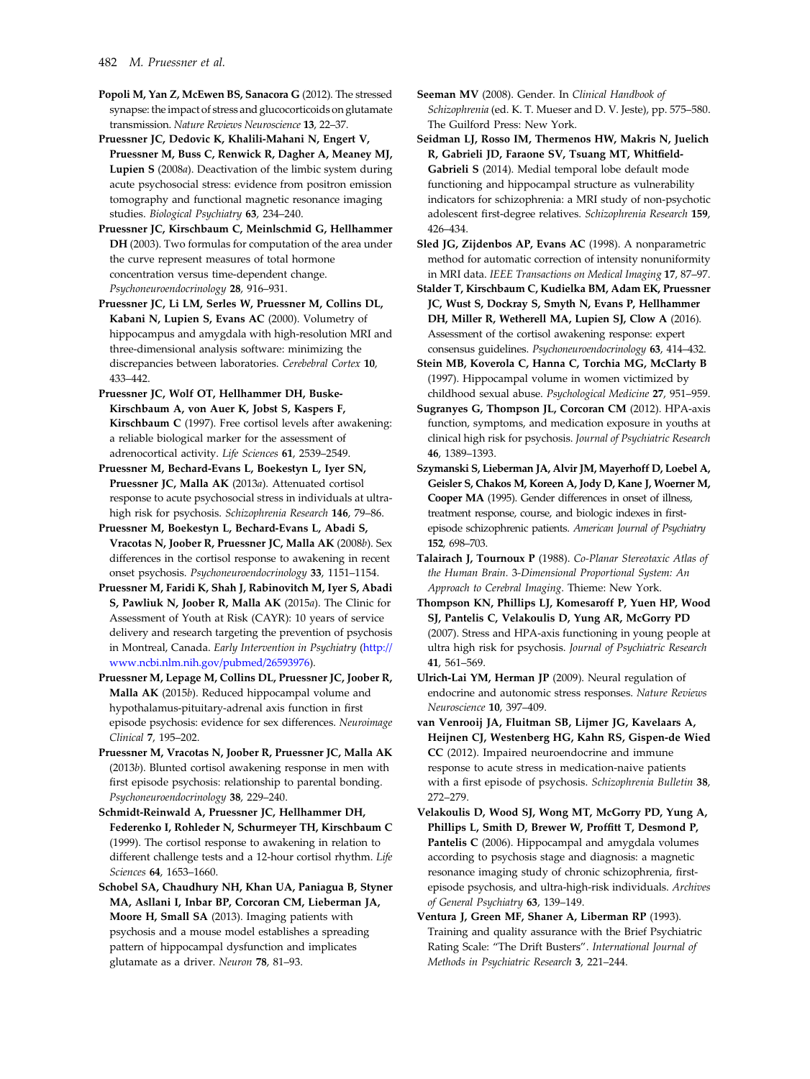- <span id="page-11-0"></span>Popoli M, Yan Z, McEwen BS, Sanacora G (2012). The stressed synapse: the impact of stress and glucocorticoids on glutamate transmission. Nature Reviews Neuroscience 13, 22–37.
- Pruessner JC, Dedovic K, Khalili-Mahani N, Engert V, Pruessner M, Buss C, Renwick R, Dagher A, Meaney MJ, Lupien S (2008a). Deactivation of the limbic system during acute psychosocial stress: evidence from positron emission tomography and functional magnetic resonance imaging studies. Biological Psychiatry 63, 234–240.
- Pruessner JC, Kirschbaum C, Meinlschmid G, Hellhammer DH (2003). Two formulas for computation of the area under the curve represent measures of total hormone concentration versus time-dependent change. Psychoneuroendocrinology 28, 916–931.
- Pruessner JC, Li LM, Serles W, Pruessner M, Collins DL, Kabani N, Lupien S, Evans AC (2000). Volumetry of hippocampus and amygdala with high-resolution MRI and three-dimensional analysis software: minimizing the discrepancies between laboratories. Cerebebral Cortex 10, 433–442.
- Pruessner JC, Wolf OT, Hellhammer DH, Buske-Kirschbaum A, von Auer K, Jobst S, Kaspers F, Kirschbaum C (1997). Free cortisol levels after awakening: a reliable biological marker for the assessment of adrenocortical activity. Life Sciences 61, 2539–2549.
- Pruessner M, Bechard-Evans L, Boekestyn L, Iyer SN, Pruessner JC, Malla AK (2013a). Attenuated cortisol response to acute psychosocial stress in individuals at ultrahigh risk for psychosis. Schizophrenia Research 146, 79–86.
- Pruessner M, Boekestyn L, Bechard-Evans L, Abadi S, Vracotas N, Joober R, Pruessner JC, Malla AK (2008b). Sex differences in the cortisol response to awakening in recent onset psychosis. Psychoneuroendocrinology 33, 1151–1154.
- Pruessner M, Faridi K, Shah J, Rabinovitch M, Iyer S, Abadi S, Pawliuk N, Joober R, Malla AK (2015a). The Clinic for Assessment of Youth at Risk (CAYR): 10 years of service delivery and research targeting the prevention of psychosis in Montreal, Canada. Early Intervention in Psychiatry [\(http://](http://www.ncbi.nlm.nih.gov/pubmed/26593976) [www.ncbi.nlm.nih.gov/pubmed/26593976\)](http://www.ncbi.nlm.nih.gov/pubmed/26593976).
- Pruessner M, Lepage M, Collins DL, Pruessner JC, Joober R, Malla AK (2015b). Reduced hippocampal volume and hypothalamus-pituitary-adrenal axis function in first episode psychosis: evidence for sex differences. Neuroimage Clinical 7, 195–202.
- Pruessner M, Vracotas N, Joober R, Pruessner JC, Malla AK (2013b). Blunted cortisol awakening response in men with first episode psychosis: relationship to parental bonding. Psychoneuroendocrinology 38, 229–240.
- Schmidt-Reinwald A, Pruessner JC, Hellhammer DH, Federenko I, Rohleder N, Schurmeyer TH, Kirschbaum C (1999). The cortisol response to awakening in relation to different challenge tests and a 12-hour cortisol rhythm. Life Sciences 64, 1653–1660.
- Schobel SA, Chaudhury NH, Khan UA, Paniagua B, Styner MA, Asllani I, Inbar BP, Corcoran CM, Lieberman JA, Moore H, Small SA (2013). Imaging patients with psychosis and a mouse model establishes a spreading pattern of hippocampal dysfunction and implicates glutamate as a driver. Neuron 78, 81–93.
- Seeman MV (2008). Gender. In Clinical Handbook of Schizophrenia (ed. K. T. Mueser and D. V. Jeste), pp. 575–580. The Guilford Press: New York.
- Seidman LJ, Rosso IM, Thermenos HW, Makris N, Juelich R, Gabrieli JD, Faraone SV, Tsuang MT, Whitfield-Gabrieli S (2014). Medial temporal lobe default mode functioning and hippocampal structure as vulnerability indicators for schizophrenia: a MRI study of non-psychotic adolescent first-degree relatives. Schizophrenia Research 159, 426–434.
- Sled JG, Zijdenbos AP, Evans AC (1998). A nonparametric method for automatic correction of intensity nonuniformity in MRI data. IEEE Transactions on Medical Imaging 17, 87–97.
- Stalder T, Kirschbaum C, Kudielka BM, Adam EK, Pruessner JC, Wust S, Dockray S, Smyth N, Evans P, Hellhammer DH, Miller R, Wetherell MA, Lupien SJ, Clow A (2016). Assessment of the cortisol awakening response: expert consensus guidelines. Psychoneuroendocrinology 63, 414–432.
- Stein MB, Koverola C, Hanna C, Torchia MG, McClarty B (1997). Hippocampal volume in women victimized by childhood sexual abuse. Psychological Medicine 27, 951–959.
- Sugranyes G, Thompson JL, Corcoran CM (2012). HPA-axis function, symptoms, and medication exposure in youths at clinical high risk for psychosis. Journal of Psychiatric Research 46, 1389–1393.
- Szymanski S, Lieberman JA, Alvir JM, Mayerhoff D, Loebel A, Geisler S, Chakos M, Koreen A, Jody D, Kane J, Woerner M, Cooper MA (1995). Gender differences in onset of illness, treatment response, course, and biologic indexes in firstepisode schizophrenic patients. American Journal of Psychiatry 152, 698–703.
- Talairach J, Tournoux P (1988). Co-Planar Stereotaxic Atlas of the Human Brain. 3-Dimensional Proportional System: An Approach to Cerebral Imaging. Thieme: New York.
- Thompson KN, Phillips LJ, Komesaroff P, Yuen HP, Wood SJ, Pantelis C, Velakoulis D, Yung AR, McGorry PD (2007). Stress and HPA-axis functioning in young people at ultra high risk for psychosis. Journal of Psychiatric Research 41, 561–569.
- Ulrich-Lai YM, Herman JP (2009). Neural regulation of endocrine and autonomic stress responses. Nature Reviews Neuroscience 10, 397–409.
- van Venrooij JA, Fluitman SB, Lijmer JG, Kavelaars A, Heijnen CJ, Westenberg HG, Kahn RS, Gispen-de Wied CC (2012). Impaired neuroendocrine and immune response to acute stress in medication-naive patients with a first episode of psychosis. Schizophrenia Bulletin 38, 272–279.
- Velakoulis D, Wood SJ, Wong MT, McGorry PD, Yung A, Phillips L, Smith D, Brewer W, Proffitt T, Desmond P, Pantelis C (2006). Hippocampal and amygdala volumes according to psychosis stage and diagnosis: a magnetic resonance imaging study of chronic schizophrenia, firstepisode psychosis, and ultra-high-risk individuals. Archives of General Psychiatry 63, 139–149.
- Ventura J, Green MF, Shaner A, Liberman RP (1993). Training and quality assurance with the Brief Psychiatric Rating Scale: "The Drift Busters". International Journal of Methods in Psychiatric Research 3, 221–244.